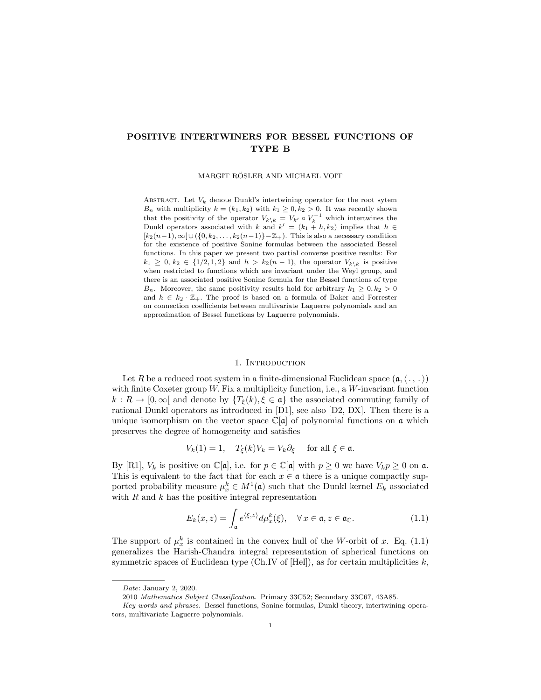# POSITIVE INTERTWINERS FOR BESSEL FUNCTIONS OF TYPE B

MARGIT RÖSLER AND MICHAEL VOIT

ABSTRACT. Let  $V_k$  denote Dunkl's intertwining operator for the root sytem *B<sub>n</sub>* with multiplicity  $k = (k_1, k_2)$  with  $k_1 \geq 0, k_2 > 0$ . It was recently shown that the positivity of the operator  $V_{k',k} = V_{k'} \circ V_k^{-1}$  which intertwines the Dunkl operators associated with *k* and  $k' = (k_1 + h, k_2)$  implies that  $h \in$  $[k_2(n-1), \infty] \cup (\{0, k_2, \ldots, k_2(n-1)\} - \mathbb{Z}_+).$  This is also a necessary condition for the existence of positive Sonine formulas between the associated Bessel functions. In this paper we present two partial converse positive results: For *k*<sub>1</sub> ≥ 0*, k*<sub>2</sub> ∈ {1/2*,* 1*,* 2} and *h* > *k*<sub>2</sub>(*n* − 1), the operator  $V_{k',k}$  is positive when restricted to functions which are invariant under the Weyl group, and there is an associated positive Sonine formula for the Bessel functions of type *B<sub>n</sub>*. Moreover, the same positivity results hold for arbitrary  $k_1 > 0, k_2 > 0$ and  $h \in k_2 \cdot \mathbb{Z}_+$ . The proof is based on a formula of Baker and Forrester on connection coefficients between multivariate Laguerre polynomials and an approximation of Bessel functions by Laguerre polynomials.

#### 1. INTRODUCTION

Let *R* be a reduced root system in a finite-dimensional Euclidean space  $(a, \langle ., . \rangle)$ with finite Coxeter group *W.* Fix a multiplicity function, i.e., a *W*-invariant function  $k: R \to [0, \infty]$  and denote by  $\{T_{\xi}(k), \xi \in \mathfrak{a}\}\)$  the associated commuting family of rational Dunkl operators as introduced in [D1], see also [D2, DX]. Then there is a unique isomorphism on the vector space  $\mathbb{C}[a]$  of polynomial functions on  $a$  which preserves the degree of homogeneity and satisfies

$$
V_k(1) = 1, \quad T_{\xi}(k)V_k = V_k \partial_{\xi} \quad \text{ for all } \xi \in \mathfrak{a}.
$$

By [R1],  $V_k$  is positive on  $\mathbb{C}[\mathfrak{a}]$ , i.e. for  $p \in \mathbb{C}[\mathfrak{a}]$  with  $p \geq 0$  we have  $V_k p \geq 0$  on  $\mathfrak{a}$ . This is equivalent to the fact that for each  $x \in \mathfrak{a}$  there is a unique compactly supported probability measure  $\mu_x^k \in M^1(\mathfrak{a})$  such that the Dunkl kernel  $E_k$  associated with *R* and *k* has the positive integral representation

$$
E_k(x, z) = \int_{\mathfrak{a}} e^{\langle \xi, z \rangle} d\mu_x^k(\xi), \quad \forall x \in \mathfrak{a}, z \in \mathfrak{a}_{\mathbb{C}}.
$$
 (1.1)

The support of  $\mu_x^k$  is contained in the convex hull of the *W*-orbit of *x*. Eq. (1.1) generalizes the Harish-Chandra integral representation of spherical functions on symmetric spaces of Euclidean type (Ch.IV of [Hel]), as for certain multiplicities *k*,

*Date*: January 2, 2020.

<sup>2010</sup> *Mathematics Subject Classification.* Primary 33C52; Secondary 33C67, 43A85.

*Key words and phrases.* Bessel functions, Sonine formulas, Dunkl theory, intertwining operators, multivariate Laguerre polynomials.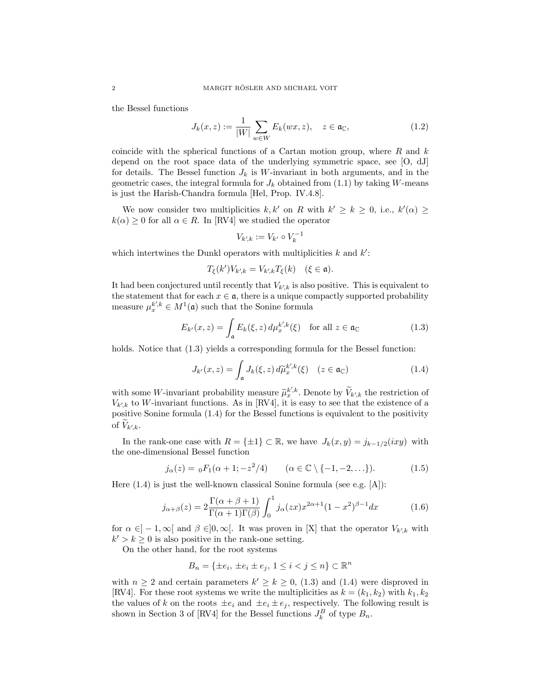the Bessel functions

$$
J_k(x, z) := \frac{1}{|W|} \sum_{w \in W} E_k(wx, z), \quad z \in \mathfrak{a}_{\mathbb{C}}, \tag{1.2}
$$

coincide with the spherical functions of a Cartan motion group, where *R* and *k* depend on the root space data of the underlying symmetric space, see [O, dJ] for details. The Bessel function  $J_k$  is W-invariant in both arguments, and in the geometric cases, the integral formula for  $J_k$  obtained from  $(1.1)$  by taking *W*-means is just the Harish-Chandra formula [Hel, Prop. IV.4.8].

We now consider two multiplicities  $k, k'$  on  $R$  with  $k' \geq k \geq 0$ , i.e.,  $k'(\alpha) \geq$  $k(\alpha) \geq 0$  for all  $\alpha \in R$ . In [RV4] we studied the operator

$$
V_{k',k} := V_{k'} \circ V_k^{-1}
$$

which intertwines the Dunkl operators with multiplicities *k* and *k*′ :

$$
T_{\xi}(k')V_{k',k}=V_{k',k}T_{\xi}(k) \quad (\xi \in \mathfrak{a}).
$$

It had been conjectured until recently that *V<sup>k</sup>*′ *,k* is also positive. This is equivalent to the statement that for each  $x \in \mathfrak{a}$ , there is a unique compactly supported probability measure  $\mu_x^{k',k} \in M^1(\mathfrak{a})$  such that the Sonine formula

$$
E_{k'}(x,z) = \int_{\mathfrak{a}} E_k(\xi, z) d\mu_x^{k',k}(\xi) \quad \text{for all } z \in \mathfrak{a}_{\mathbb{C}} \tag{1.3}
$$

holds. Notice that  $(1.3)$  yields a corresponding formula for the Bessel function:

$$
J_{k'}(x,z) = \int_{\mathfrak{a}} J_k(\xi, z) d\tilde{\mu}_x^{k',k}(\xi) \quad (z \in \mathfrak{a}_{\mathbb{C}}) \tag{1.4}
$$

with some *W*-invariant probability measure  $\tilde{\mu}_k^{k',k}$ . Denote by  $\tilde{V}_{k',k}$  the restriction of  $V_{k',k}$  to *W*-invariant functions. As in [RV4], it is easy to see that the existence of a positive Sonine formula (1.4) for the Bessel functions is equivalent to the positivity of  $V_{k',k}$ .

In the rank-one case with  $R = \{\pm 1\} \subset \mathbb{R}$ , we have  $J_k(x, y) = j_{k-1/2}(ixy)$  with the one-dimensional Bessel function

$$
j_{\alpha}(z) = {}_0F_1(\alpha + 1; -z^2/4) \qquad (\alpha \in \mathbb{C} \setminus \{-1, -2, \ldots\}).
$$
 (1.5)

Here  $(1.4)$  is just the well-known classical Sonine formula (see e.g. [A]):

$$
j_{\alpha+\beta}(z) = 2\frac{\Gamma(\alpha+\beta+1)}{\Gamma(\alpha+1)\Gamma(\beta)} \int_0^1 j_{\alpha}(zx) x^{2\alpha+1} (1-x^2)^{\beta-1} dx
$$
 (1.6)

for  $\alpha \in ]-1,\infty[$  and  $\beta \in ]0,\infty[$ . It was proven in [X] that the operator  $V_{k',k}$  with  $k' > k \geq 0$  is also positive in the rank-one setting.

On the other hand, for the root systems

$$
B_n = \{\pm e_i, \pm e_i \pm e_j, 1 \le i < j \le n\} \subset \mathbb{R}^n
$$

with  $n \geq 2$  and certain parameters  $k' \geq k \geq 0$ , (1.3) and (1.4) were disproved in [RV4]. For these root systems we write the multiplicities as  $k = (k_1, k_2)$  with  $k_1, k_2$ the values of *k* on the roots  $\pm e_i$  and  $\pm e_i \pm e_j$ , respectively. The following result is shown in Section 3 of [RV4] for the Bessel functions  $J_k^B$  of type  $B_n$ .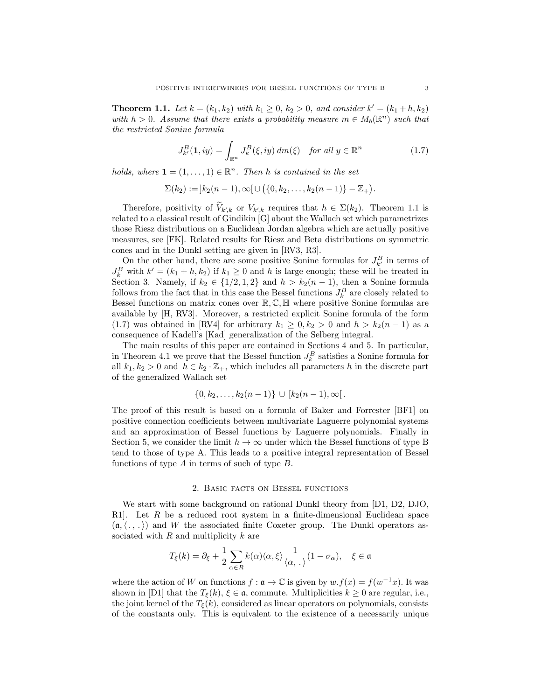**Theorem 1.1.** Let  $k = (k_1, k_2)$  with  $k_1 \geq 0$ ,  $k_2 > 0$ , and consider  $k' = (k_1 + h, k_2)$ *with*  $h > 0$ . *Assume that there exists a probability measure*  $m \in M_b(\mathbb{R}^n)$  *such that the restricted Sonine formula*

$$
J_{k'}^{B}(\mathbf{1},iy) = \int_{\mathbb{R}^n} J_k^{B}(\xi,iy) dm(\xi) \quad \text{for all } y \in \mathbb{R}^n \tag{1.7}
$$

*holds, where*  $\mathbf{1} = (1, \ldots, 1) \in \mathbb{R}^n$ *. Then h is contained in the set* 

$$
\Sigma(k_2) := [k_2(n-1), \infty[ \cup (\{0, k_2, \ldots, k_2(n-1)\} - \mathbb{Z}_+).
$$

Therefore, positivity of  $V_{k',k}$  or  $V_{k',k}$  requires that  $h \in \Sigma(k_2)$ . Theorem 1.1 is related to a classical result of Gindikin [G] about the Wallach set which parametrizes those Riesz distributions on a Euclidean Jordan algebra which are actually positive measures, see [FK]. Related results for Riesz and Beta distributions on symmetric cones and in the Dunkl setting are given in [RV3, R3].

On the other hand, there are some positive Sonine formulas for  $J_{k'}^B$  in terms of  $J_k^B$  with  $k' = (k_1 + h, k_2)$  if  $k_1 \ge 0$  and *h* is large enough; these will be treated in Section 3. Namely, if  $k_2 \in \{1/2, 1, 2\}$  and  $h > k_2(n-1)$ , then a Sonine formula follows from the fact that in this case the Bessel functions  $J_k^B$  are closely related to Bessel functions on matrix cones over R*,* C*,* H where positive Sonine formulas are available by [H, RV3]. Moreover, a restricted explicit Sonine formula of the form (1.7) was obtained in [RV4] for arbitrary  $k_1 \geq 0, k_2 > 0$  and  $h > k_2(n-1)$  as a consequence of Kadell's [Kad] generalization of the Selberg integral.

The main results of this paper are contained in Sections 4 and 5. In particular, in Theorem 4.1 we prove that the Bessel function  $J_k^B$  satisfies a Sonine formula for all  $k_1, k_2 > 0$  and  $h \in k_2 \cdot \mathbb{Z}_+$ , which includes all parameters *h* in the discrete part of the generalized Wallach set

$$
\{0, k_2, \ldots, k_2(n-1)\} \cup [k_2(n-1), \infty[
$$

The proof of this result is based on a formula of Baker and Forrester [BF1] on positive connection coefficients between multivariate Laguerre polynomial systems and an approximation of Bessel functions by Laguerre polynomials. Finally in Section 5, we consider the limit  $h \to \infty$  under which the Bessel functions of type B tend to those of type A. This leads to a positive integral representation of Bessel functions of type *A* in terms of such of type *B*.

## 2. Basic facts on Bessel functions

We start with some background on rational Dunkl theory from [D1, D2, DJO, R1]. Let *R* be a reduced root system in a finite-dimensional Euclidean space  $(\mathfrak{a}, \langle \cdot, \cdot \rangle)$  and W the associated finite Coxeter group. The Dunkl operators associated with *R* and multiplicity *k* are

$$
T_{\xi}(k) = \partial_{\xi} + \frac{1}{2} \sum_{\alpha \in R} k(\alpha) \langle \alpha, \xi \rangle \frac{1}{\langle \alpha, \square \rangle} (1 - \sigma_{\alpha}), \quad \xi \in \mathfrak{a}
$$

where the action of *W* on functions  $f : \mathfrak{a} \to \mathbb{C}$  is given by  $w.f(x) = f(w^{-1}x)$ . It was shown in [D1] that the  $T_{\xi}(k)$ ,  $\xi \in \mathfrak{a}$ , commute. Multiplicities  $k \geq 0$  are regular, i.e., the joint kernel of the  $T_{\xi}(k)$ , considered as linear operators on polynomials, consists of the constants only. This is equivalent to the existence of a necessarily unique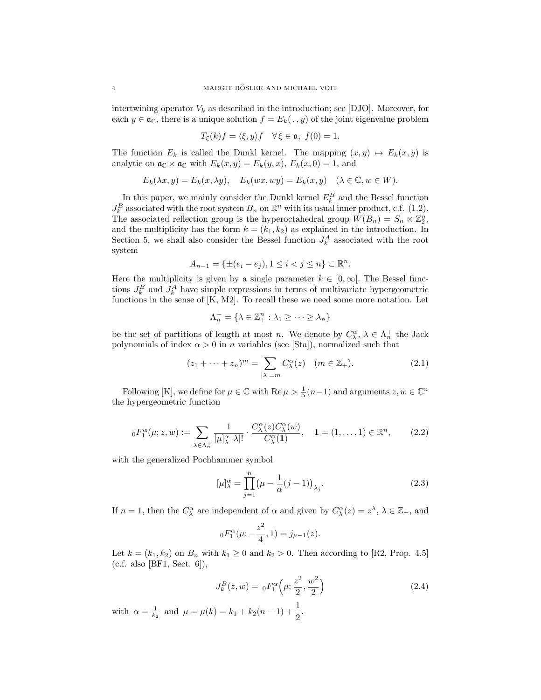intertwining operator  $V_k$  as described in the introduction; see [DJO]. Moreover, for each  $y \in \mathfrak{a}_{\mathbb{C}}$ , there is a unique solution  $f = E_k(. , y)$  of the joint eigenvalue problem

$$
T_{\xi}(k)f = \langle \xi, y \rangle f \quad \forall \, \xi \in \mathfrak{a}, \ f(0) = 1.
$$

The function  $E_k$  is called the Dunkl kernel. The mapping  $(x, y) \mapsto E_k(x, y)$  is analytic on  $\mathfrak{a}_{\mathbb{C}} \times \mathfrak{a}_{\mathbb{C}}$  with  $E_k(x, y) = E_k(y, x)$ ,  $E_k(x, 0) = 1$ , and

$$
E_k(\lambda x, y) = E_k(x, \lambda y), \quad E_k(wx, wy) = E_k(x, y) \quad (\lambda \in \mathbb{C}, w \in W).
$$

In this paper, we mainly consider the Dunkl kernel  $E_k^B$  and the Bessel function  $J_k^B$  associated with the root system  $B_n$  on  $\mathbb{R}^n$  with its usual inner product, c.f. (1.2). The associated reflection group is the hyperoctahedral group  $W(B_n) = S_n \ltimes \mathbb{Z}_2^n$ , and the multiplicity has the form  $k = (k_1, k_2)$  as explained in the introduction. In Section 5, we shall also consider the Bessel function  $J_k^A$  associated with the root system

$$
A_{n-1} = \{ \pm (e_i - e_j), 1 \le i < j \le n \} \subset \mathbb{R}^n.
$$

Here the multiplicity is given by a single parameter  $k \in [0, \infty]$ . The Bessel functions  $J_k^B$  and  $J_k^A$  have simple expressions in terms of multivariate hypergeometric functions in the sense of [K, M2]. To recall these we need some more notation. Let

$$
\Lambda_n^+ = \{ \lambda \in \mathbb{Z}_+^n : \lambda_1 \geq \cdots \geq \lambda_n \}
$$

be the set of partitions of length at most *n*. We denote by  $C^{\alpha}_{\lambda}, \lambda \in \Lambda_n^+$  the Jack polynomials of index  $\alpha > 0$  in *n* variables (see [Sta]), normalized such that

$$
(z_1 + \dots + z_n)^m = \sum_{|\lambda| = m} C_{\lambda}^{\alpha}(z) \quad (m \in \mathbb{Z}_+). \tag{2.1}
$$

Following [K], we define for  $\mu \in \mathbb{C}$  with Re  $\mu > \frac{1}{\alpha}(n-1)$  and arguments  $z, w \in \mathbb{C}^n$ the hypergeometric function

$$
{}_{0}F_{1}^{\alpha}(\mu;z,w) := \sum_{\lambda \in \Lambda_{n}^{+}} \frac{1}{[\mu]_{\lambda}^{\alpha} |\lambda|!} \cdot \frac{C_{\lambda}^{\alpha}(z) C_{\lambda}^{\alpha}(w)}{C_{\lambda}^{\alpha}(1)}, \quad 1 = (1,\ldots,1) \in \mathbb{R}^{n},\qquad(2.2)
$$

with the generalized Pochhammer symbol

$$
[\mu]_{\lambda}^{\alpha} = \prod_{j=1}^{n} (\mu - \frac{1}{\alpha}(j-1))_{\lambda_j}.
$$
 (2.3)

If  $n = 1$ , then the  $C^{\alpha}_{\lambda}$  are independent of  $\alpha$  and given by  $C^{\alpha}_{\lambda}(z) = z^{\lambda}$ ,  $\lambda \in \mathbb{Z}_{+}$ , and

$$
{}_{0}F_{1}^{\alpha}(\mu; -\frac{z^{2}}{4}, 1) = j_{\mu-1}(z).
$$

Let  $k = (k_1, k_2)$  on  $B_n$  with  $k_1 \geq 0$  and  $k_2 > 0$ . Then according to [R2, Prop. 4.5]  $(c.f. also [BF1, Sect. 6]),$ 

$$
J_k^B(z, w) = {}_0F_1^{\alpha}\left(\mu; \frac{z^2}{2}, \frac{w^2}{2}\right)
$$
 (2.4)

with  $\alpha = \frac{1}{k_2}$  and  $\mu = \mu(k) = k_1 + k_2(n-1) + \frac{1}{2}$  $\frac{1}{2}$ .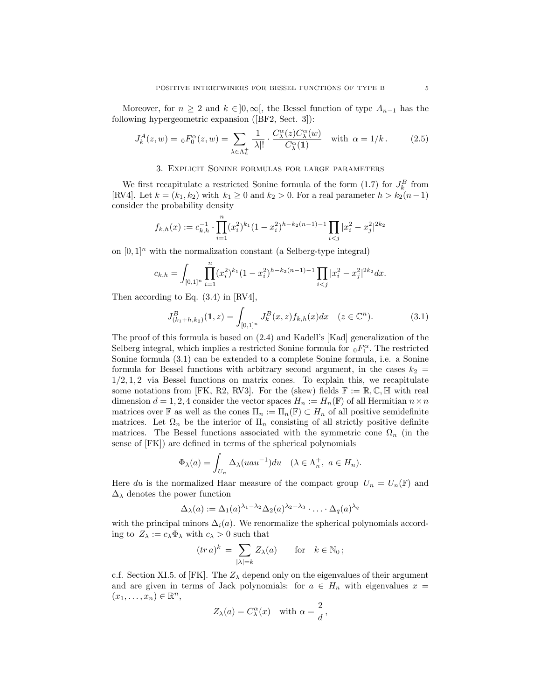Moreover, for  $n \geq 2$  and  $k \in ]0,\infty[$ , the Bessel function of type  $A_{n-1}$  has the following hypergeometric expansion ([BF2, Sect. 3]):

$$
J_k^A(z, w) = {}_0F_0^{\alpha}(z, w) = \sum_{\lambda \in \Lambda_n^+} \frac{1}{|\lambda|!} \cdot \frac{C_{\lambda}^{\alpha}(z) C_{\lambda}^{\alpha}(w)}{C_{\lambda}^{\alpha}(1)} \quad \text{with } \alpha = 1/k. \tag{2.5}
$$

# 3. Explicit Sonine formulas for large parameters

We first recapitulate a restricted Sonine formula of the form  $(1.7)$  for  $J_k^B$  from [RV4]. Let  $k = (k_1, k_2)$  with  $k_1 \geq 0$  and  $k_2 > 0$ . For a real parameter  $h > k_2(n-1)$ consider the probability density

$$
f_{k,h}(x) := c_{k,h}^{-1} \cdot \prod_{i=1}^{n} (x_i^2)^{k_1} (1 - x_i^2)^{h - k_2(n-1) - 1} \prod_{i < j} |x_i^2 - x_j^2|^{2k_2}
$$

on  $[0,1]^n$  with the normalization constant (a Selberg-type integral)

$$
c_{k,h} = \int_{[0,1]^n} \prod_{i=1}^n (x_i^2)^{k_1} (1-x_i^2)^{h-k_2(n-1)-1} \prod_{i < j} |x_i^2 - x_j^2|^{2k_2} dx.
$$

Then according to Eq. (3.4) in [RV4],

$$
J_{(k_1+h,k_2)}^B(\mathbf{1},z) = \int_{[0,1]^n} J_k^B(x,z) f_{k,h}(x) dx \quad (z \in \mathbb{C}^n). \tag{3.1}
$$

The proof of this formula is based on (2.4) and Kadell's [Kad] generalization of the Selberg integral, which implies a restricted Sonine formula for  ${}_0F_1^{\alpha}$ . The restricted Sonine formula (3.1) can be extended to a complete Sonine formula, i.e. a Sonine formula for Bessel functions with arbitrary second argument, in the cases  $k_2$  = 1*/*2*,* 1*,* 2 via Bessel functions on matrix cones. To explain this, we recapitulate some notations from [FK, R2, RV3]. For the (skew) fields  $\mathbb{F} := \mathbb{R}, \mathbb{C}, \mathbb{H}$  with real dimension  $d = 1, 2, 4$  consider the vector spaces  $H_n := H_n(\mathbb{F})$  of all Hermitian  $n \times n$ matrices over F as well as the cones  $\Pi_n := \Pi_n(\mathbb{F}) \subset H_n$  of all positive semidefinite matrices. Let  $\Omega_n$  be the interior of  $\Pi_n$  consisting of all strictly positive definite matrices. The Bessel functions associated with the symmetric cone  $\Omega_n$  (in the sense of [FK]) are defined in terms of the spherical polynomials

$$
\Phi_{\lambda}(a) = \int_{U_n} \Delta_{\lambda}(uau^{-1})du \quad (\lambda \in \Lambda_n^+, \ a \in H_n).
$$

Here du is the normalized Haar measure of the compact group  $U_n = U_n(\mathbb{F})$  and  $\Delta$ λ denotes the power function

$$
\Delta_{\lambda}(a) := \Delta_1(a)^{\lambda_1 - \lambda_2} \Delta_2(a)^{\lambda_2 - \lambda_3} \cdot \ldots \cdot \Delta_q(a)^{\lambda_q}
$$

with the principal minors  $\Delta_i(a)$ . We renormalize the spherical polynomials according to  $Z_{\lambda} := c_{\lambda} \Phi_{\lambda}$  with  $c_{\lambda} > 0$  such that

$$
(tr\,a)^k \,=\, \sum_{|\lambda|=k} Z_\lambda(a) \qquad \text{for} \quad k\in\mathbb{N}_0\,;
$$

c.f. Section XI.5. of [FK]. The  $Z_{\lambda}$  depend only on the eigenvalues of their argument and are given in terms of Jack polynomials: for  $a \in H_n$  with eigenvalues  $x =$  $(x_1, \ldots, x_n) \in \mathbb{R}^n$ ,

$$
Z_{\lambda}(a) = C_{\lambda}^{\alpha}(x) \quad \text{with } \alpha = \frac{2}{d},
$$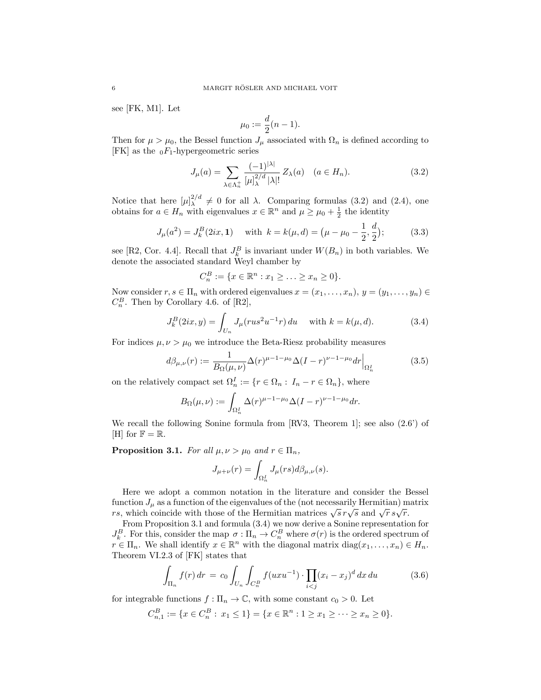see [FK, M1]. Let

$$
\mu_0 := \frac{d}{2}(n-1).
$$

Then for  $\mu > \mu_0$ , the Bessel function  $J_\mu$  associated with  $\Omega_n$  is defined according to [FK] as the  $_0F_1$ -hypergeometric series

$$
J_{\mu}(a) = \sum_{\lambda \in \Lambda_n^+} \frac{(-1)^{|\lambda|}}{[\mu]_{\lambda}^{2/d} |\lambda|!} Z_{\lambda}(a) \quad (a \in H_n). \tag{3.2}
$$

Notice that here  $[\mu]_{\lambda}^{2/d} \neq 0$  for all  $\lambda$ . Comparing formulas (3.2) and (2.4), one obtains for  $a \in H_n$  with eigenvalues  $x \in \mathbb{R}^n$  and  $\mu \ge \mu_0 + \frac{1}{2}$  the identity

$$
J_{\mu}(a^2) = J_k^B(2ix, 1) \quad \text{with } k = k(\mu, d) = (\mu - \mu_0 - \frac{1}{2}, \frac{d}{2}); \tag{3.3}
$$

see [R2, Cor. 4.4]. Recall that  $J_k^B$  is invariant under  $W(B_n)$  in both variables. We denote the associated standard Weyl chamber by

$$
C_n^B := \{x \in \mathbb{R}^n : x_1 \ge \ldots \ge x_n \ge 0\}.
$$

Now consider  $r, s \in \Pi_n$  with ordered eigenvalues  $x = (x_1, \ldots, x_n), y = (y_1, \ldots, y_n) \in$  $C_n^B$ . Then by Corollary 4.6. of [R2],

$$
J_k^B(2ix, y) = \int_{U_n} J_\mu(rus^2 u^{-1}r) du \quad \text{ with } k = k(\mu, d). \tag{3.4}
$$

For indices  $\mu, \nu > \mu_0$  we introduce the Beta-Riesz probability measures

$$
d\beta_{\mu,\nu}(r) := \frac{1}{B_{\Omega}(\mu,\nu)} \Delta(r)^{\mu-1-\mu_0} \Delta(I-r)^{\nu-1-\mu_0} dr \Big|_{\Omega_n^I}
$$
(3.5)

on the relatively compact set  $\Omega_n^I := \{r \in \Omega_n : I_n - r \in \Omega_n\}$ , where

$$
B_{\Omega}(\mu,\nu) := \int_{\Omega_n^I} \Delta(r)^{\mu-1-\mu_0} \Delta(I-r)^{\nu-1-\mu_0} dr.
$$

We recall the following Sonine formula from [RV3, Theorem 1]; see also (2.6') of [H] for  $\mathbb{F} = \mathbb{R}$ .

**Proposition 3.1.** *For all*  $\mu, \nu > \mu_0$  *and*  $r \in \Pi_n$ *,* 

$$
J_{\mu+\nu}(r)=\int_{\Omega_h^I}J_\mu(rs)d\beta_{\mu,\nu}(s).
$$

Here we adopt a common notation in the literature and consider the Bessel function  $J_\mu$  as a function of the eigenvalues of the (not necessarily Hermitian) matrix *rs*, which coincide with those of the Hermitian matrices  $\sqrt{s} r \sqrt{s}$  and  $\sqrt{r} s \sqrt{r}$ .

From Proposition 3.1 and formula (3.4) we now derive a Sonine representation for  $J_k^B$ . For this, consider the map  $\sigma : \Pi_n \to C_n^B$  where  $\sigma(r)$  is the ordered spectrum of  $r \in \Pi_n$ . We shall identify  $x \in \mathbb{R}^n$  with the diagonal matrix diag $(x_1, \ldots, x_n) \in H_n$ . Theorem VI.2.3 of [FK] states that

$$
\int_{\Pi_n} f(r) dr = c_0 \int_{U_n} \int_{C_n^B} f(uxu^{-1}) \cdot \prod_{i < j} (x_i - x_j)^d dx du \tag{3.6}
$$

for integrable functions  $f: \Pi_n \to \mathbb{C}$ , with some constant  $c_0 > 0$ . Let

$$
C_{n,1}^B := \{ x \in C_n^B : x_1 \le 1 \} = \{ x \in \mathbb{R}^n : 1 \ge x_1 \ge \dots \ge x_n \ge 0 \}.
$$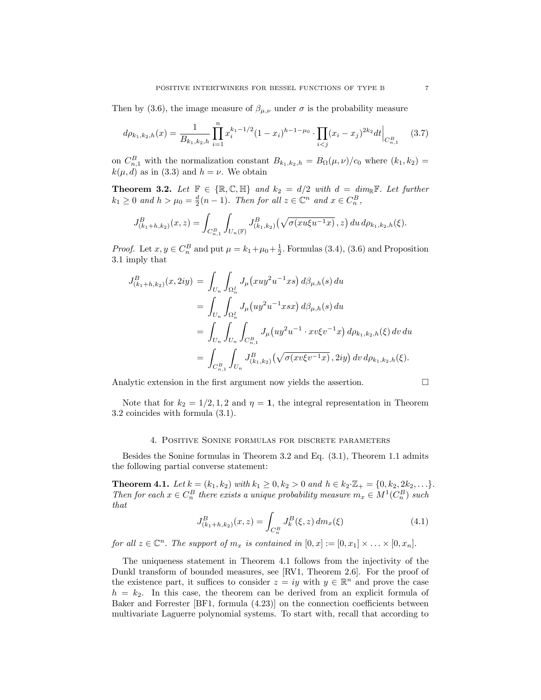Then by (3.6), the image measure of  $\beta_{\mu,\nu}$  under  $\sigma$  is the probability measure

$$
d\rho_{k_1,k_2,h}(x) = \frac{1}{B_{k_1,k_2,h}} \prod_{i=1}^n x_i^{k_1 - 1/2} (1 - x_i)^{h-1-\mu_0} \cdot \prod_{i < j} (x_i - x_j)^{2k_2} dt \Big|_{C_{n,1}^B} \tag{3.7}
$$

on  $C_{n,1}^B$  with the normalization constant  $B_{k_1,k_2,h} = B_{\Omega}(\mu,\nu)/c_0$  where  $(k_1,k_2)$  $k(\mu, d)$  as in (3.3) and  $h = \nu$ . We obtain

**Theorem 3.2.** Let  $\mathbb{F} \in \{\mathbb{R}, \mathbb{C}, \mathbb{H}\}$  and  $k_2 = d/2$  with  $d = \dim_{\mathbb{R}} \mathbb{F}$ . Let further  $k_1 \geq 0$  and  $h > \mu_0 = \frac{d}{2}(n-1)$ *. Then for all*  $z \in \mathbb{C}^n$  and  $x \in C_n^B$ ,

$$
J_{(k_1+h,k_2)}^B(x,z) = \int_{C_{n,1}^B} \int_{U_n(\mathbb{F})} J_{(k_1,k_2)}^B(\sqrt{\sigma(xu\xi u^{-1}x)},z) du d\rho_{k_1,k_2,h}(\xi).
$$

*Proof.* Let  $x, y \in C_n^B$  and put  $\mu = k_1 + \mu_0 + \frac{1}{2}$ . Formulas (3.4), (3.6) and Proposition 3.1 imply that

$$
J_{(k_1+h,k_2)}^B(x,2iy) = \int_{U_n} \int_{\Omega_n^I} J_\mu(xuy^2u^{-1}xs) d\beta_{\mu,h}(s) du
$$
  
= 
$$
\int_{U_n} \int_{\Omega_n^I} J_\mu(uy^2u^{-1}xsx) d\beta_{\mu,h}(s) du
$$
  
= 
$$
\int_{U_n} \int_{U_n} \int_{C_{n,1}^B} J_\mu(uy^2u^{-1} \cdot xv\xi v^{-1}x) d\rho_{k_1,k_2,h}(\xi) dv du
$$
  
= 
$$
\int_{C_{n,1}^B} \int_{U_n} J_{(k_1,k_2)}^B(\sqrt{\sigma(xv\xi v^{-1}x)},2iy) dv d\rho_{k_1,k_2,h}(\xi).
$$

Analytic extension in the first argument now yields the assertion.  $\Box$ 

Note that for  $k_2 = 1/2, 1, 2$  and  $\eta = 1$ , the integral representation in Theorem 3.2 coincides with formula (3.1).

### 4. Positive Sonine formulas for discrete parameters

Besides the Sonine formulas in Theorem 3.2 and Eq. (3.1), Theorem 1.1 admits the following partial converse statement:

**Theorem 4.1.** Let  $k = (k_1, k_2)$  with  $k_1 \ge 0, k_2 > 0$  and  $h \in k_2 \mathbb{Z}_+ = \{0, k_2, 2k_2, \ldots\}$ . *Then for each*  $x \in C_n^B$  *there exists a unique probability measure*  $m_x \in M^1(C_n^B)$  *such that*

$$
J_{(k_1+h,k_2)}^B(x,z) = \int_{C_n^B} J_k^B(\xi,z) \, dm_x(\xi) \tag{4.1}
$$

for all  $z \in \mathbb{C}^n$ . The support of  $m_x$  is contained in  $[0, x] := [0, x_1] \times \ldots \times [0, x_n]$ .

The uniqueness statement in Theorem 4.1 follows from the injectivity of the Dunkl transform of bounded measures, see [RV1, Theorem 2.6]. For the proof of the existence part, it suffices to consider  $z = iy$  with  $y \in \mathbb{R}^n$  and prove the case  $h = k_2$ . In this case, the theorem can be derived from an explicit formula of Baker and Forrester [BF1, formula (4.23)] on the connection coefficients between multivariate Laguerre polynomial systems. To start with, recall that according to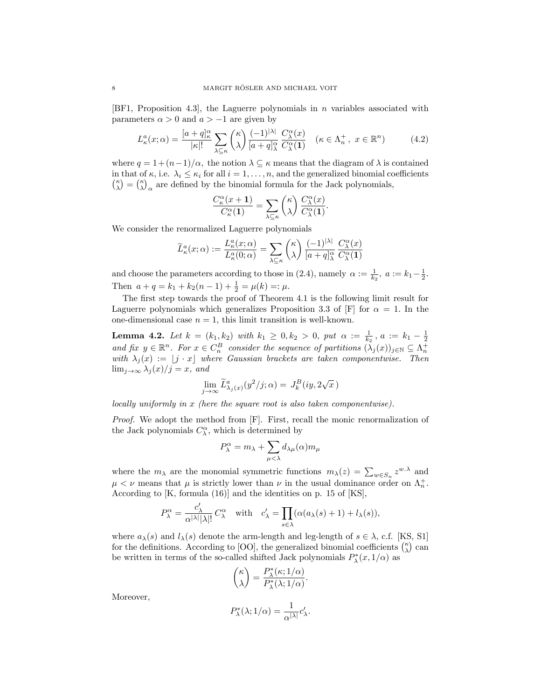[BF1, Proposition 4.3], the Laguerre polynomials in *n* variables associated with parameters  $\alpha > 0$  and  $a > -1$  are given by

$$
L^a_{\kappa}(x;\alpha) = \frac{[a+q]^{\alpha}_{\kappa}}{|\kappa|!} \sum_{\lambda \subseteq \kappa} {\kappa \choose \lambda} \frac{(-1)^{|\lambda|}}{[a+q]^{\alpha}_{\lambda}} \frac{C^{\alpha}_{\lambda}(x)}{C^{\alpha}_{\lambda}(1)} \quad (\kappa \in \Lambda_n^+, \ x \in \mathbb{R}^n) \tag{4.2}
$$

where  $q = 1 + (n-1)/\alpha$ , the notion  $\lambda \subseteq \kappa$  means that the diagram of  $\lambda$  is contained in that of  $\kappa$ , i.e.  $\lambda_i \leq \kappa_i$  for all  $i = 1, \ldots, n$ , and the generalized binomial coefficients  $\binom{\kappa}{\lambda} = \binom{\kappa}{\lambda}_\alpha$  are defined by the binomial formula for the Jack polynomials,

$$
\frac{C_{\kappa}^{\alpha}(x+1)}{C_{\kappa}^{\alpha}(1)} = \sum_{\lambda \subseteq \kappa} {\kappa \choose \lambda} \frac{C_{\lambda}^{\alpha}(x)}{C_{\lambda}^{\alpha}(1)}.
$$

We consider the renormalized Laguerre polynomials

$$
\widetilde{L}^a_{\kappa}(x;\alpha) := \frac{L^a_{\kappa}(x;\alpha)}{L^a_{\kappa}(0;\alpha)} = \sum_{\lambda \subseteq \kappa} \binom{\kappa}{\lambda} \frac{(-1)^{|\lambda|}}{[a+q]^\alpha_{\lambda}} \frac{C^\alpha_{\lambda}(x)}{C^\alpha_{\lambda}(1)}
$$

and choose the parameters according to those in (2.4), namely  $\alpha := \frac{1}{k_2}$ ,  $a := k_1 - \frac{1}{2}$ . Then  $a + q = k_1 + k_2(n-1) + \frac{1}{2} = \mu(k) =: \mu$ .

The first step towards the proof of Theorem 4.1 is the following limit result for Laguerre polynomials which generalizes Proposition 3.3 of [F] for  $\alpha = 1$ . In the one-dimensional case  $n = 1$ , this limit transition is well-known.

**Lemma 4.2.** Let  $k = (k_1, k_2)$  with  $k_1 \ge 0, k_2 > 0$ , put  $\alpha := \frac{1}{k_2}, a := k_1 - \frac{1}{2}$ <br>and fix  $y \in \mathbb{R}^n$ . For  $x \in C_n^B$  consider the sequence of partitions  $(\lambda_j(x))_{j \in \mathbb{N}} \subseteq \Lambda_n^+$ *with*  $\lambda_j(x) := [j \cdot x]$  *where Gaussian brackets are taken componentwise. Then* lim<sub>j→∞</sub>  $\lambda_j(x)/j = x$ *, and* 

$$
\lim_{j \to \infty} \widetilde{L}^a_{\lambda_j(x)}(y^2/j; \alpha) = J^B_k(iy, 2\sqrt{x})
$$

*locally uniformly in x (here the square root is also taken componentwise).*

*Proof.* We adopt the method from [F]. First, recall the monic renormalization of the Jack polynomials  $C^{\alpha}_{\lambda}$ , which is determined by

$$
P_\lambda^\alpha = m_\lambda + \sum_{\mu < \lambda} d_{\lambda \mu}(\alpha) m_\mu
$$

where the  $m_\lambda$  are the monomial symmetric functions  $m_\lambda(z) = \sum_{w \in S_n} z^{w.\lambda}$  and  $\mu < \nu$  means that  $\mu$  is strictly lower than  $\nu$  in the usual dominance order on  $\Lambda_n^+$ . According to [K, formula (16)] and the identities on p. 15 of [KS],

$$
P_{\lambda}^{\alpha} = \frac{c_{\lambda}'}{\alpha^{|\lambda|} |\lambda|!} C_{\lambda}^{\alpha} \quad \text{with} \quad c_{\lambda}' = \prod_{s \in \lambda} (\alpha(a_{\lambda}(s) + 1) + l_{\lambda}(s)),
$$

where  $a_{\lambda}(s)$  and  $l_{\lambda}(s)$  denote the arm-length and leg-length of  $s \in \lambda$ , c.f. [KS, S1] for the definitions. According to [OO], the generalized binomial coefficients  $\binom{\kappa}{\lambda}$  can be written in terms of the so-called shifted Jack polynomials  $P^*_{\lambda}(x,1/\alpha)$  as

$$
\binom{\kappa}{\lambda} = \frac{P_{\lambda}^*(\kappa; 1/\alpha)}{P_{\lambda}^*(\lambda; 1/\alpha)}.
$$

Moreover,

$$
P_{\lambda}^*(\lambda; 1/\alpha) = \frac{1}{\alpha^{|\lambda|}} c_{\lambda}'.
$$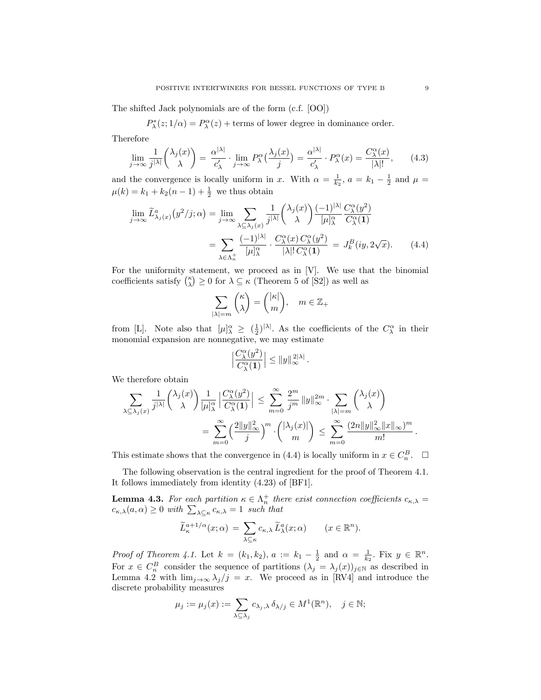The shifted Jack polynomials are of the form (c.f. [OO])

 $P_{\lambda}^{*}(z;1/\alpha) = P_{\lambda}^{\alpha}(z) + \text{terms of lower degree in dominance order.}$ 

Therefore

$$
\lim_{j \to \infty} \frac{1}{j^{|\lambda|}} \binom{\lambda_j(x)}{\lambda} = \frac{\alpha^{|\lambda|}}{c'_\lambda} \cdot \lim_{j \to \infty} P^\alpha_\lambda \left(\frac{\lambda_j(x)}{j}\right) = \frac{\alpha^{|\lambda|}}{c'_\lambda} \cdot P^\alpha_\lambda(x) = \frac{C^\alpha_\lambda(x)}{|\lambda|!},\tag{4.3}
$$

and the convergence is locally uniform in *x*. With  $\alpha = \frac{1}{k_2}$ ,  $a = k_1 - \frac{1}{2}$  and  $\mu =$  $\mu(k) = k_1 + k_2(n-1) + \frac{1}{2}$  we thus obtain

$$
\lim_{j \to \infty} \widetilde{L}_{\lambda_j(x)}^a(y^2/j; \alpha) = \lim_{j \to \infty} \sum_{\lambda \subseteq \lambda_j(x)} \frac{1}{j^{|\lambda|}} \binom{\lambda_j(x)}{\lambda} \frac{(-1)^{|\lambda|}}{[\mu]_{\lambda}^{\alpha}} \frac{C_{\lambda}^{\alpha}(y^2)}{C_{\lambda}^{\alpha}(1)}
$$

$$
= \sum_{\lambda \in \Lambda_n^+} \frac{(-1)^{|\lambda|}}{[\mu]_{\lambda}^{\alpha}} \cdot \frac{C_{\lambda}^{\alpha}(x) C_{\lambda}^{\alpha}(y^2)}{|\lambda|! C_{\lambda}^{\alpha}(1)} = J_k^B(iy, 2\sqrt{x}). \tag{4.4}
$$

For the uniformity statement, we proceed as in [V]. We use that the binomial coefficients satisfy  $\binom{\kappa}{\lambda} \ge 0$  for  $\lambda \subseteq \kappa$  (Theorem 5 of [S2]) as well as

$$
\sum_{|\lambda|=m} \binom{\kappa}{\lambda} = \binom{|\kappa|}{m}, \quad m \in \mathbb{Z}_+
$$

from [L]. Note also that  $[\mu]_{\lambda}^{\alpha} \geq (\frac{1}{2})^{|\lambda|}$ . As the coefficients of the  $C_{\lambda}^{\alpha}$  in their monomial expansion are nonnegative, we may estimate

$$
\left|\frac{C_\lambda^\alpha(y^2)}{C_\lambda^\alpha(\mathbf{1})}\right| \leq \|y\|_\infty^{2|\lambda|}.
$$

We therefore obtain

$$
\sum_{\lambda \subseteq \lambda_j(x)} \frac{1}{j^{|\lambda|}} \binom{\lambda_j(x)}{\lambda} \frac{1}{[\mu]_{\lambda}^{\alpha}} \left| \frac{C_{\lambda}^{\alpha}(y^2)}{C_{\lambda}^{\alpha}(1)} \right| \leq \sum_{m=0}^{\infty} \frac{2^m}{j^m} \|y\|_{\infty}^{2m} \cdot \sum_{|\lambda|=m} \binom{\lambda_j(x)}{\lambda} \\ = \sum_{m=0}^{\infty} \left( \frac{2\|y\|_{\infty}^2}{j} \right)^m \cdot \binom{|\lambda_j(x)|}{m} \leq \sum_{m=0}^{\infty} \frac{(2n\|y\|_{\infty}^2 \|x\|_{\infty})^m}{m!} \, .
$$

This estimate shows that the convergence in (4.4) is locally uniform in  $x \in C_n^B$ .  $\Box$ 

The following observation is the central ingredient for the proof of Theorem 4.1. It follows immediately from identity (4.23) of [BF1].

**Lemma 4.3.** For each partition  $\kappa \in \Lambda_n^+$  there exist connection coefficients  $c_{\kappa,\lambda} =$  $c_{\kappa,\lambda}(a,\alpha) \geq 0$  *with*  $\sum_{\lambda \subseteq \kappa} c_{\kappa,\lambda} = 1$  *such that* 

$$
\widetilde{L}_{\kappa}^{a+1/\alpha}(x;\alpha) = \sum_{\lambda \subseteq \kappa} c_{\kappa,\lambda} \widetilde{L}_{\lambda}^{a}(x;\alpha) \qquad (x \in \mathbb{R}^{n}).
$$

*Proof of Theorem* 4.1. Let  $k = (k_1, k_2)$ ,  $a := k_1 - \frac{1}{2}$  and  $\alpha = \frac{1}{k_2}$ . Fix  $y \in \mathbb{R}^n$ . For  $x \in C_n^B$  consider the sequence of partitions  $(\lambda_j = \lambda_j(x))_{j \in \mathbb{N}}$  as described in Lemma 4.2 with  $\lim_{j\to\infty} \frac{\lambda_j}{j} = x$ . We proceed as in [RV4] and introduce the discrete probability measures

$$
\mu_j := \mu_j(x) := \sum_{\lambda \subseteq \lambda_j} c_{\lambda_j, \lambda} \, \delta_{\lambda/j} \in M^1(\mathbb{R}^n), \quad j \in \mathbb{N};
$$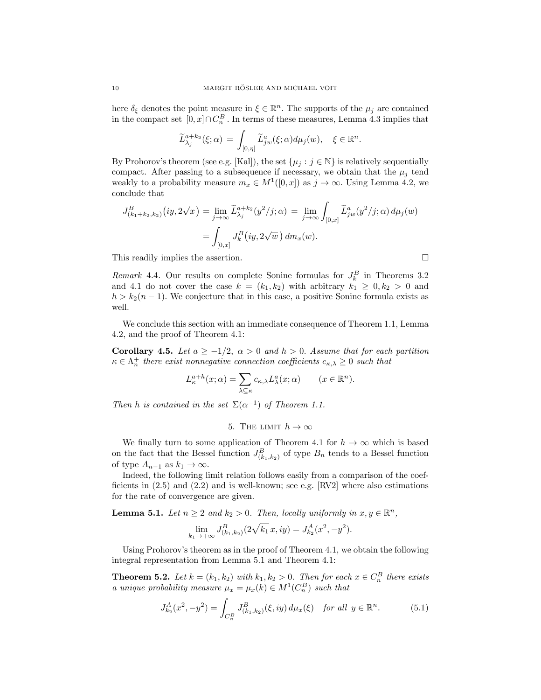here  $\delta_{\xi}$  denotes the point measure in  $\xi \in \mathbb{R}^{n}$ . The supports of the  $\mu_{j}$  are contained in the compact set  $[0, x] \cap C_n^B$ . In terms of these measures, Lemma 4.3 implies that

$$
\widetilde{L}_{\lambda_j}^{a+k_2}(\xi;\alpha) = \int_{[0,\eta]} \widetilde{L}_{jw}^a(\xi;\alpha) d\mu_j(w), \quad \xi \in \mathbb{R}^n.
$$

By Prohorov's theorem (see e.g. [Kal]), the set  $\{\mu_j : j \in \mathbb{N}\}\$ is relatively sequentially compact. After passing to a subsequence if necessary, we obtain that the  $\mu_j$  tend weakly to a probability measure  $m_x \in M^1([0, x])$  as  $j \to \infty$ . Using Lemma 4.2, we conclude that

$$
J_{(k_1+k_2,k_2)}^B(iy,2\sqrt{x}) = \lim_{j \to \infty} \widetilde{L}_{\lambda_j}^{a+k_2}(y^2/j;\alpha) = \lim_{j \to \infty} \int_{[0,x]} \widetilde{L}_{jw}^a(y^2/j;\alpha) d\mu_j(w)
$$
  
= 
$$
\int_{[0,x]} J_k^B(iy,2\sqrt{w}) dm_x(w).
$$

This readily implies the assertion.  $\Box$ 

*Remark* 4.4. Our results on complete Sonine formulas for  $J_k^B$  in Theorems 3.2 and 4.1 do not cover the case  $k = (k_1, k_2)$  with arbitrary  $k_1 \geq 0, k_2 > 0$  and  $h > k_2(n-1)$ . We conjecture that in this case, a positive Sonine formula exists as well.

We conclude this section with an immediate consequence of Theorem 1.1, Lemma 4.2, and the proof of Theorem 4.1:

Corollary 4.5. Let  $a \geq -1/2$ ,  $\alpha > 0$  and  $h > 0$ . Assume that for each partition  $\kappa \in \Lambda_n^+$  *there exist nonnegative connection coefficients*  $c_{\kappa,\lambda} \geq 0$  *such that* 

$$
L_{\kappa}^{a+h}(x;\alpha) = \sum_{\lambda \subseteq \kappa} c_{\kappa,\lambda} L_{\lambda}^{a}(x;\alpha) \qquad (x \in \mathbb{R}^{n}).
$$

*Then h is contained in the set*  $\Sigma(\alpha^{-1})$  *of Theorem* 1.1.

5. THE LIMIT 
$$
h \to \infty
$$

We finally turn to some application of Theorem 4.1 for  $h \to \infty$  which is based on the fact that the Bessel function  $J_{(k_1,k_2)}^B$  of type  $B_n$  tends to a Bessel function of type  $A_{n-1}$  as  $k_1 \to \infty$ .

Indeed, the following limit relation follows easily from a comparison of the coefficients in  $(2.5)$  and  $(2.2)$  and is well-known; see e.g.  $[RV2]$  where also estimations for the rate of convergence are given.

**Lemma 5.1.** *Let*  $n \geq 2$  *and*  $k_2 > 0$ *. Then, locally uniformly in*  $x, y \in \mathbb{R}^n$ *,* 

$$
\lim_{k_1 \to +\infty} J_{(k_1,k_2)}^B(2\sqrt{k_1} x, iy) = J_{k_2}^A(x^2, -y^2).
$$

Using Prohorov's theorem as in the proof of Theorem 4.1, we obtain the following integral representation from Lemma 5.1 and Theorem 4.1:

**Theorem 5.2.** Let  $k = (k_1, k_2)$  with  $k_1, k_2 > 0$ . Then for each  $x \in C_n^B$  there exists *a unique probability measure*  $\mu_x = \mu_x(k) \in M^1(C_n^B)$  *such that* 

$$
J_{k_2}^A(x^2, -y^2) = \int_{C_n^B} J_{(k_1, k_2)}^B(\xi, iy) d\mu_x(\xi) \quad \text{for all } y \in \mathbb{R}^n. \tag{5.1}
$$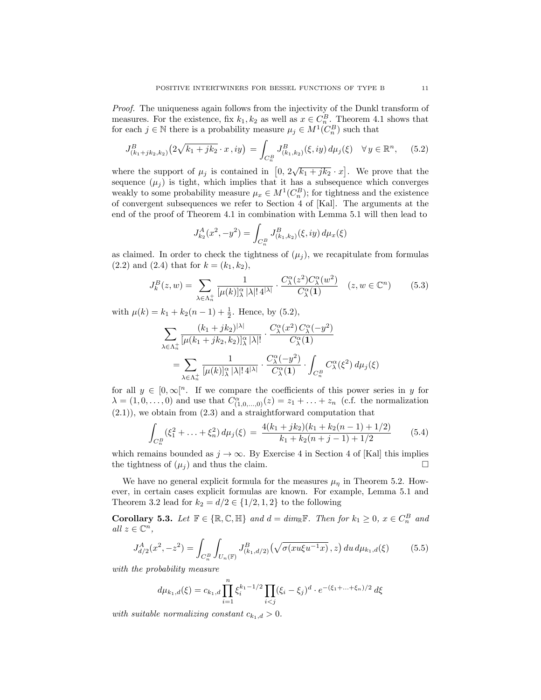*Proof.* The uniqueness again follows from the injectivity of the Dunkl transform of measures. For the existence, fix  $k_1, k_2$  as well as  $x \in C_n^B$ . Theorem 4.1 shows that for each  $j \in \mathbb{N}$  there is a probability measure  $\mu_j \in M^1(C_n^B)$  such that

$$
J_{(k_1+jk_2,k_2)}^B(2\sqrt{k_1+jk_2}\cdot x,iy) = \int_{C_n^B} J_{(k_1,k_2)}^B(\xi,iy) d\mu_j(\xi) \quad \forall y \in \mathbb{R}^n, \quad (5.2)
$$

where the support of  $\mu_j$  is contained in  $[0, 2\sqrt{k_1 + jk_2} \cdot x]$ . We prove that the sequence  $(\mu_j)$  is tight, which implies that it has a subsequence which converges weakly to some probability measure  $\mu_x \in M^1(\mathbb{C}^B_n)$ ; for tightness and the existence of convergent subsequences we refer to Section 4 of [Kal]. The arguments at the end of the proof of Theorem 4.1 in combination with Lemma 5.1 will then lead to

$$
J_{k_2}^A(x^2, -y^2) = \int_{C_n^B} J_{(k_1, k_2)}^B(\xi, iy) d\mu_x(\xi)
$$

as claimed. In order to check the tightness of  $(\mu_j)$ , we recapitulate from formulas  $(2.2)$  and  $(2.4)$  that for  $k = (k_1, k_2)$ ,

$$
J_k^B(z, w) = \sum_{\lambda \in \Lambda_n^+} \frac{1}{[\mu(k)]_\lambda^\alpha |\lambda|! \, 4^{|\lambda|}} \cdot \frac{C_\lambda^\alpha(z^2) C_\lambda^\alpha(w^2)}{C_\lambda^\alpha(1)} \quad (z, w \in \mathbb{C}^n) \tag{5.3}
$$

with  $\mu(k) = k_1 + k_2(n-1) + \frac{1}{2}$ . Hence, by (5.2),

$$
\sum_{\lambda \in \Lambda_n^+} \frac{(k_1 + jk_2)^{|\lambda|}}{[\mu(k_1 + jk_2, k_2)]^\alpha_\lambda |\lambda|!} \cdot \frac{C^\alpha_\lambda(x^2) C^\alpha_\lambda(-y^2)}{C^\alpha_\lambda(\mathbf{1})}
$$
  
= 
$$
\sum_{\lambda \in \Lambda_n^+} \frac{1}{[\mu(k)]^\alpha_\lambda |\lambda|! \, 4^{|\lambda|}} \cdot \frac{C^\alpha_\lambda(-y^2)}{C^\alpha_\lambda(\mathbf{1})} \cdot \int_{C_n^B} C^\alpha_\lambda(\xi^2) \, d\mu_j(\xi)
$$

for all  $y \in [0, \infty]^n$ . If we compare the coefficients of this power series in *y* for  $\lambda = (1, 0, \ldots, 0)$  and use that  $C^{\alpha}_{(1,0,\ldots,0)}(z) = z_1 + \ldots + z_n$  (c.f. the normalization (2.1)), we obtain from (2.3) and a straightforward computation that

$$
\int_{C_n^B} (\xi_1^2 + \ldots + \xi_n^2) d\mu_j(\xi) = \frac{4(k_1 + jk_2)(k_1 + k_2(n-1) + 1/2)}{k_1 + k_2(n+j-1) + 1/2} \tag{5.4}
$$

which remains bounded as *j* → ∞. By Exercise 4 in Section 4 of [Kal] this implies the tightness of  $(u_i)$  and thus the claim. the tightness of  $(\mu_j)$  and thus the claim.

We have no general explicit formula for the measures  $\mu_{\eta}$  in Theorem 5.2. However, in certain cases explicit formulas are known. For example, Lemma 5.1 and Theorem 3.2 lead for  $k_2 = d/2 \in \{1/2, 1, 2\}$  to the following

**Corollary 5.3.** Let  $\mathbb{F} \in \{\mathbb{R}, \mathbb{C}, \mathbb{H}\}$  and  $d = dim_{\mathbb{R}}\mathbb{F}$ . Then for  $k_1 \geq 0$ ,  $x \in C_n^B$  and  $all \ z \in \mathbb{C}^n,$ 

$$
J_{d/2}^{A}(x^{2}, -z^{2}) = \int_{C_{n}^{B}} \int_{U_{n}(\mathbb{F})} J_{(k_{1}, d/2)}^{B}(\sqrt{\sigma(xu\xi u^{-1}x)}, z) du d\mu_{k_{1}, d}(\xi)
$$
(5.5)

*with the probability measure*

$$
d\mu_{k_1,d}(\xi) = c_{k_1,d} \prod_{i=1}^n \xi_i^{k_1-1/2} \prod_{i < j} (\xi_i - \xi_j)^d \cdot e^{-(\xi_1 + \dots + \xi_n)/2} d\xi
$$

*with suitable normalizing constant*  $c_{k_1,d} > 0$ .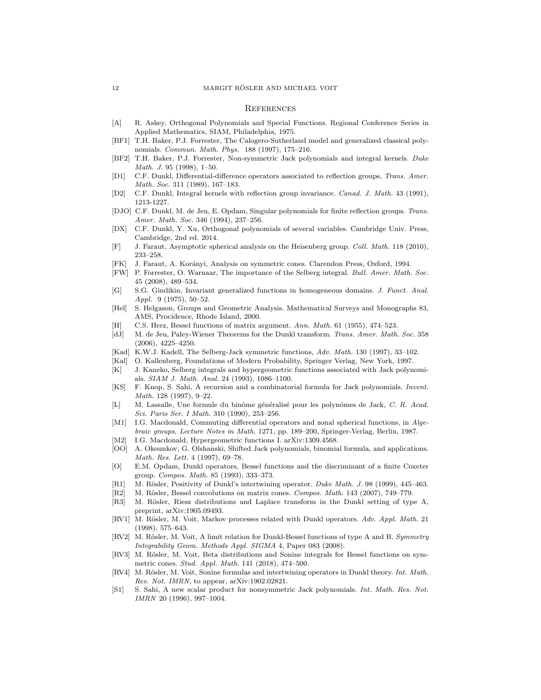#### **REFERENCES**

- [A] R. Askey, Orthogonal Polynomials and Special Functions. Regional Conference Series in Applied Mathematics, SIAM, Philadelphia, 1975.
- [BF1] T.H. Baker, P.J. Forrester, The Calogero-Sutherland model and generalized classical polynomials. *Commun. Math. Phys.* 188 (1997), 175–216.
- [BF2] T.H. Baker, P.J. Forrester, Non-symmetric Jack polynomials and integral kernels. *Duke Math. J.* 95 (1998), 1–50.
- [D1] C.F. Dunkl, Differential-difference operators associated to reflection groups, *Trans. Amer. Math. Soc.* 311 (1989), 167–183.
- [D2] C.F. Dunkl, Integral kernels with reflection group invariance. *Canad. J. Math.* 43 (1991), 1213-1227.
- [DJO] C.F. Dunkl, M. de Jeu, E. Opdam, Singular polynomials for finite reflection groups. *Trans. Amer. Math. Soc.* 346 (1994), 237–256.
- [DX] C.F. Dunkl, Y. Xu, Orthogonal polynomials of several variables. Cambridge Univ. Press, Cambridge, 2nd ed. 2014.
- [F] J. Faraut, Asymptotic spherical analysis on the Heisenberg group. *Coll. Math.* 118 (2010), 233–258.
- [FK] J. Faraut, A. Kor´anyi, Analysis on symmetric cones. Clarendon Press, Oxford, 1994.
- [FW] P. Forrester, O. Warnaar, The importance of the Selberg integral. *Bull. Amer. Math. Soc.* 45 (2008), 489–534.
- [G] S.G. Gindikin, Invariant generalized functions in homogeneous domains. *J. Funct. Anal. Appl.* 9 (1975), 50–52.
- [Hel] S. Helgason, Groups and Geometric Analysis. Mathematical Surveys and Monographs 83, AMS, Procidence, Rhode Island, 2000.
- [H] C.S. Herz, Bessel functions of matrix argument. *Ann. Math.* 61 (1955), 474–523.
- [dJ] M. de Jeu, Paley-Wiener Theorems for the Dunkl transform. *Trans. Amer. Math. Soc.* 358 (2006), 4225–4250.
- [Kad] K.W.J. Kadell, The Selberg-Jack symmetric functions, *Adv. Math.* 130 (1997), 33–102.
- [Kal] O. Kallenberg, Foundations of Modern Probability, Springer Verlag, New York, 1997.
- [K] J. Kaneko, Selberg integrals and hypergeometric functions associated with Jack polynomials. *SIAM J. Math. Anal.* 24 (1993), 1086–1100.
- [KS] F. Knop, S. Sahi, A recursion and a combinatorial formula for Jack polynomials. *Invent. Math.* 128 (1997), 9–22.
- [L] M. Lassalle, Une formule du binˆome g´en´eralis´e pour les polynˆomes de Jack, *C. R. Acad. Sci. Paris Ser. I Math.* 310 (1990), 253–256.
- [M1] I.G. Macdonald, Commuting differential operators and zonal spherical functions, in *Algebraic groups, Lecture Notes in Math.* 1271, pp. 189–200, Springer-Verlag, Berlin, 1987.
- [M2] I.G. Macdonald, Hypergeometric functions I. arXiv:1309.4568.
- [OO] A. Okounkov, G. Olshanski, Shifted Jack polynomials, binomial formula, and applications. *Math. Res. Lett.* 4 (1997), 69–78.
- [O] E.M. Opdam, Dunkl operators, Bessel functions and the discriminant of a finite Coxeter group. *Compos. Math.* 85 (1993), 333–373.
- [R1] M. Rösler, Positivity of Dunkl's intertwining operator. *Duke Math. J.* 98 (1999), 445–463.
- [R2] M. Rösler, Bessel convolutions on matrix cones. *Compos. Math.* 143 (2007), 749–779. [R3] M. Rösler, Riesz distributions and Laplace transform in the Dunkl setting of type A,
- preprint, arXiv:1905.09493.
- [RV1] M. Rösler, M. Voit, Markov processes related with Dunkl operators. Adv. Appl. Math. 21 (1998), 575–643.
- [RV2] M. Rösler, M. Voit, A limit relation for Dunkl-Bessel functions of type A and B. *Symmetry Integrability Geom. Methods Appl. SIGMA* 4, Paper 083 (2008).
- [RV3] M. Rösler, M. Voit, Beta distributions and Sonine integrals for Bessel functions on symmetric cones. *Stud. Appl. Math.* 141 (2018), 474–500.
- [RV4] M. Rösler, M. Voit, Sonine formulas and intertwining operators in Dunkl theory. *Int. Math. Res. Not. IMRN*, to appear, arXiv:1902.02821.
- [S1] S. Sahi, A new scalar product for nonsymmetric Jack polynomials. *Int. Math. Res. Not. IMRN* 20 (1996), 997–1004.